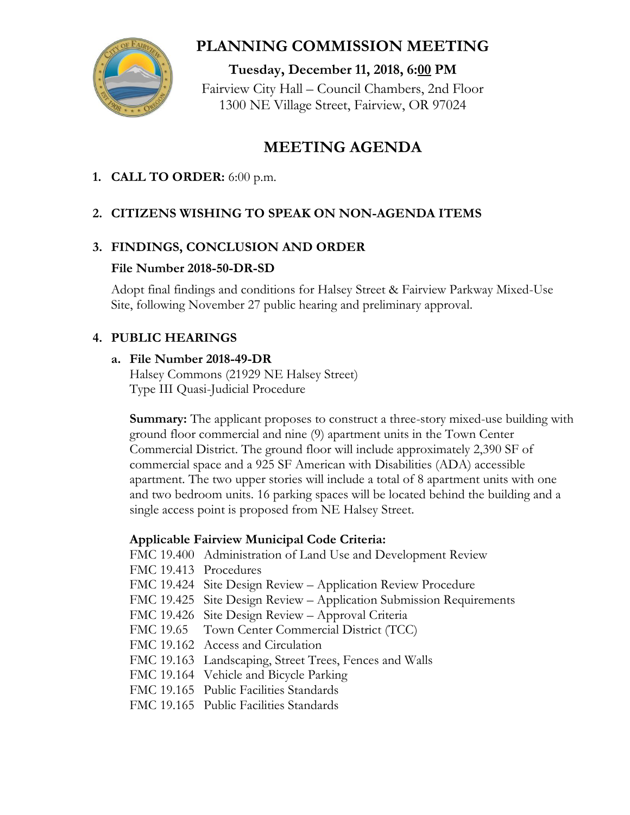

# **PLANNING COMMISSION MEETING**

**Tuesday, December 11, 2018, 6:00 PM** Fairview City Hall – Council Chambers, 2nd Floor 1300 NE Village Street, Fairview, OR 97024

# **MEETING AGENDA**

### **1. CALL TO ORDER:** 6:00 p.m.

## **2. CITIZENS WISHING TO SPEAK ON NON-AGENDA ITEMS**

### **3. FINDINGS, CONCLUSION AND ORDER**

#### **File Number 2018-50-DR-SD**

Adopt final findings and conditions for Halsey Street & Fairview Parkway Mixed-Use Site, following November 27 public hearing and preliminary approval.

### **4. PUBLIC HEARINGS**

#### **a. File Number 2018-49-DR**

Halsey Commons (21929 NE Halsey Street) Type III Quasi-Judicial Procedure

**Summary:** The applicant proposes to construct a three-story mixed-use building with ground floor commercial and nine (9) apartment units in the Town Center Commercial District. The ground floor will include approximately 2,390 SF of commercial space and a 925 SF American with Disabilities (ADA) accessible apartment. The two upper stories will include a total of 8 apartment units with one and two bedroom units. 16 parking spaces will be located behind the building and a single access point is proposed from NE Halsey Street.

### **Applicable Fairview Municipal Code Criteria:**

FMC 19.400 Administration of Land Use and Development Review

FMC 19.413 Procedures

- FMC 19.424 Site Design Review Application Review Procedure
- FMC 19.425 Site Design Review Application Submission Requirements
- FMC 19.426 Site Design Review Approval Criteria
- FMC 19.65 Town Center Commercial District (TCC)
- FMC 19.162 Access and Circulation
- FMC 19.163 Landscaping, Street Trees, Fences and Walls
- FMC 19.164 Vehicle and Bicycle Parking
- FMC 19.165 Public Facilities Standards
- FMC 19.165 Public Facilities Standards